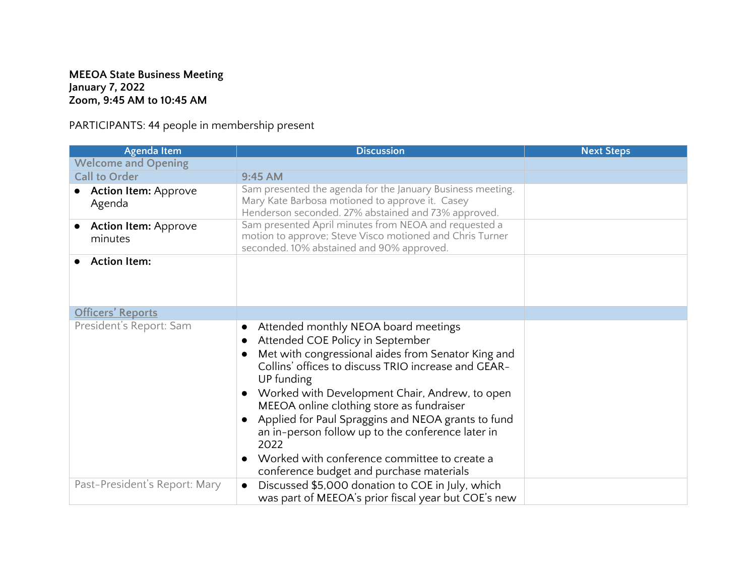## **MEEOA State Business Meeting January 7, 2022 Zoom, 9:45 AM to 10:45 AM**

PARTICIPANTS: 44 people in membership present

| <b>Agenda Item</b>                     | <b>Discussion</b>                                                                                                                                                                                                                                                                                                                                                                                                                                                                                                              | <b>Next Steps</b> |
|----------------------------------------|--------------------------------------------------------------------------------------------------------------------------------------------------------------------------------------------------------------------------------------------------------------------------------------------------------------------------------------------------------------------------------------------------------------------------------------------------------------------------------------------------------------------------------|-------------------|
| <b>Welcome and Opening</b>             |                                                                                                                                                                                                                                                                                                                                                                                                                                                                                                                                |                   |
| <b>Call to Order</b>                   | 9:45 AM                                                                                                                                                                                                                                                                                                                                                                                                                                                                                                                        |                   |
| <b>Action Item: Approve</b><br>Agenda  | Sam presented the agenda for the January Business meeting.<br>Mary Kate Barbosa motioned to approve it. Casey<br>Henderson seconded. 27% abstained and 73% approved.                                                                                                                                                                                                                                                                                                                                                           |                   |
| <b>Action Item: Approve</b><br>minutes | Sam presented April minutes from NEOA and requested a<br>motion to approve; Steve Visco motioned and Chris Turner<br>seconded. 10% abstained and 90% approved.                                                                                                                                                                                                                                                                                                                                                                 |                   |
| <b>Action Item:</b>                    |                                                                                                                                                                                                                                                                                                                                                                                                                                                                                                                                |                   |
| <b>Officers' Reports</b>               |                                                                                                                                                                                                                                                                                                                                                                                                                                                                                                                                |                   |
| President's Report: Sam                | Attended monthly NEOA board meetings<br>$\bullet$<br>Attended COE Policy in September<br>Met with congressional aides from Senator King and<br>Collins' offices to discuss TRIO increase and GEAR-<br>UP funding<br>Worked with Development Chair, Andrew, to open<br>MEEOA online clothing store as fundraiser<br>Applied for Paul Spraggins and NEOA grants to fund<br>an in-person follow up to the conference later in<br>2022<br>Worked with conference committee to create a<br>conference budget and purchase materials |                   |
| Past-President's Report: Mary          | Discussed \$5,000 donation to COE in July, which<br>was part of MEEOA's prior fiscal year but COE's new                                                                                                                                                                                                                                                                                                                                                                                                                        |                   |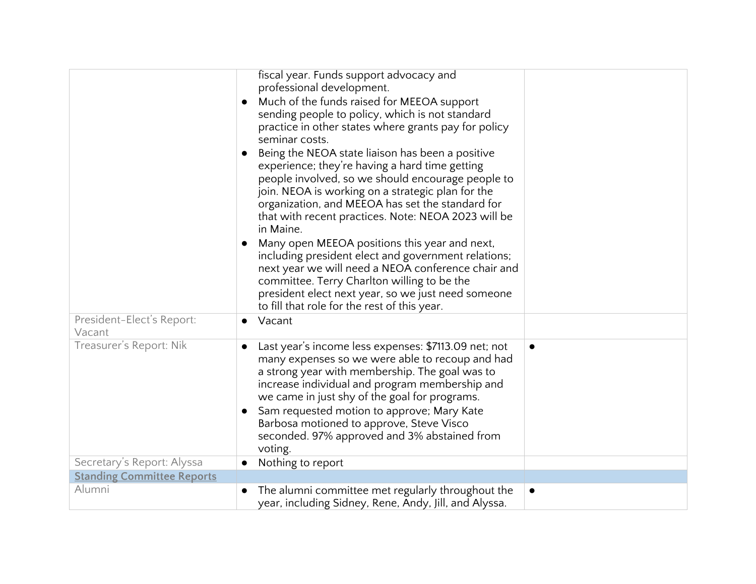|                                     | fiscal year. Funds support advocacy and<br>professional development.<br>Much of the funds raised for MEEOA support<br>sending people to policy, which is not standard<br>practice in other states where grants pay for policy<br>seminar costs.<br>Being the NEOA state liaison has been a positive<br>experience; they're having a hard time getting<br>people involved, so we should encourage people to<br>join. NEOA is working on a strategic plan for the<br>organization, and MEEOA has set the standard for<br>that with recent practices. Note: NEOA 2023 will be<br>in Maine.<br>Many open MEEOA positions this year and next,<br>including president elect and government relations;<br>next year we will need a NEOA conference chair and<br>committee. Terry Charlton willing to be the<br>president elect next year, so we just need someone<br>to fill that role for the rest of this year. |           |
|-------------------------------------|------------------------------------------------------------------------------------------------------------------------------------------------------------------------------------------------------------------------------------------------------------------------------------------------------------------------------------------------------------------------------------------------------------------------------------------------------------------------------------------------------------------------------------------------------------------------------------------------------------------------------------------------------------------------------------------------------------------------------------------------------------------------------------------------------------------------------------------------------------------------------------------------------------|-----------|
| President-Elect's Report:<br>Vacant | Vacant<br>$\bullet$                                                                                                                                                                                                                                                                                                                                                                                                                                                                                                                                                                                                                                                                                                                                                                                                                                                                                        |           |
| Treasurer's Report: Nik             | Last year's income less expenses: \$7113.09 net; not<br>many expenses so we were able to recoup and had<br>a strong year with membership. The goal was to<br>increase individual and program membership and<br>we came in just shy of the goal for programs.<br>Sam requested motion to approve; Mary Kate<br>Barbosa motioned to approve, Steve Visco<br>seconded. 97% approved and 3% abstained from<br>voting.                                                                                                                                                                                                                                                                                                                                                                                                                                                                                          | $\bullet$ |
| Secretary's Report: Alyssa          | Nothing to report<br>$\bullet$                                                                                                                                                                                                                                                                                                                                                                                                                                                                                                                                                                                                                                                                                                                                                                                                                                                                             |           |
| <b>Standing Committee Reports</b>   |                                                                                                                                                                                                                                                                                                                                                                                                                                                                                                                                                                                                                                                                                                                                                                                                                                                                                                            |           |
| Alumni                              | The alumni committee met regularly throughout the<br>$\bullet$<br>year, including Sidney, Rene, Andy, Jill, and Alyssa.                                                                                                                                                                                                                                                                                                                                                                                                                                                                                                                                                                                                                                                                                                                                                                                    | $\bullet$ |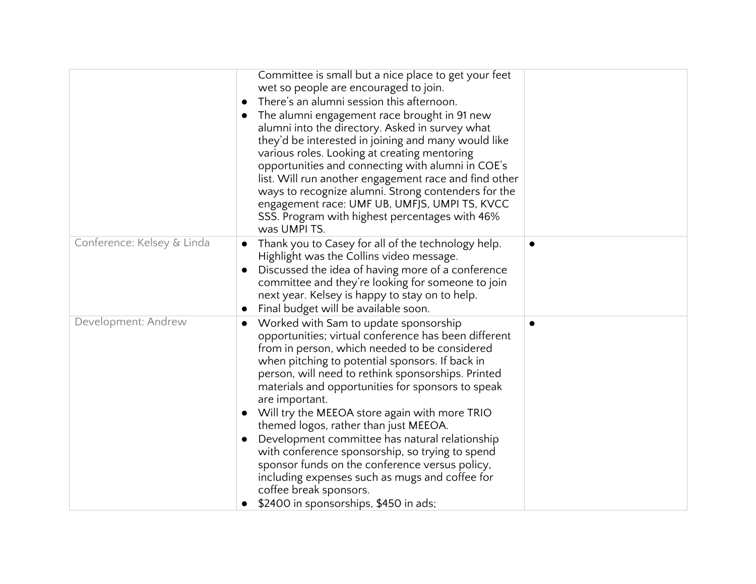|                            | Committee is small but a nice place to get your feet<br>wet so people are encouraged to join.<br>There's an alumni session this afternoon.<br>The alumni engagement race brought in 91 new<br>alumni into the directory. Asked in survey what<br>they'd be interested in joining and many would like<br>various roles. Looking at creating mentoring<br>opportunities and connecting with alumni in COE's<br>list. Will run another engagement race and find other<br>ways to recognize alumni. Strong contenders for the<br>engagement race: UMF UB, UMFJS, UMPI TS, KVCC<br>SSS. Program with highest percentages with 46%<br>was UMPI TS.                                                         |  |
|----------------------------|------------------------------------------------------------------------------------------------------------------------------------------------------------------------------------------------------------------------------------------------------------------------------------------------------------------------------------------------------------------------------------------------------------------------------------------------------------------------------------------------------------------------------------------------------------------------------------------------------------------------------------------------------------------------------------------------------|--|
| Conference: Kelsey & Linda | Thank you to Casey for all of the technology help.<br>Highlight was the Collins video message.<br>Discussed the idea of having more of a conference<br>committee and they're looking for someone to join<br>next year. Kelsey is happy to stay on to help.<br>Final budget will be available soon.                                                                                                                                                                                                                                                                                                                                                                                                   |  |
| Development: Andrew        | Worked with Sam to update sponsorship<br>opportunities; virtual conference has been different<br>from in person, which needed to be considered<br>when pitching to potential sponsors. If back in<br>person, will need to rethink sponsorships. Printed<br>materials and opportunities for sponsors to speak<br>are important.<br>Will try the MEEOA store again with more TRIO<br>themed logos, rather than just MEEOA.<br>Development committee has natural relationship<br>with conference sponsorship, so trying to spend<br>sponsor funds on the conference versus policy,<br>including expenses such as mugs and coffee for<br>coffee break sponsors.<br>\$2400 in sponsorships, \$450 in ads; |  |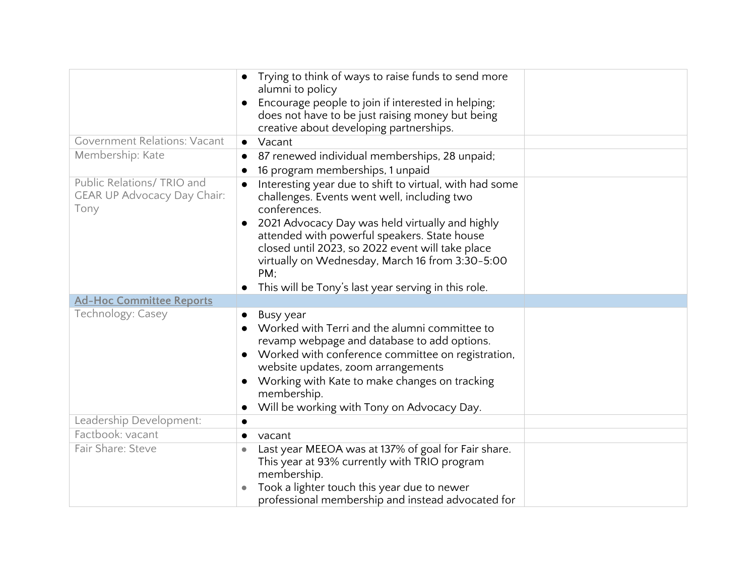|                                     | Trying to think of ways to raise funds to send more<br>alumni to policy                         |  |
|-------------------------------------|-------------------------------------------------------------------------------------------------|--|
|                                     | Encourage people to join if interested in helping;                                              |  |
|                                     | does not have to be just raising money but being                                                |  |
|                                     | creative about developing partnerships.                                                         |  |
| <b>Government Relations: Vacant</b> | Vacant<br>$\bullet$                                                                             |  |
| Membership: Kate                    | 87 renewed individual memberships, 28 unpaid;                                                   |  |
|                                     | 16 program memberships, 1 unpaid                                                                |  |
| Public Relations/ TRIO and          | Interesting year due to shift to virtual, with had some                                         |  |
| <b>GEAR UP Advocacy Day Chair:</b>  | challenges. Events went well, including two                                                     |  |
| Tony                                | conferences.                                                                                    |  |
|                                     | 2021 Advocacy Day was held virtually and highly<br>attended with powerful speakers. State house |  |
|                                     | closed until 2023, so 2022 event will take place                                                |  |
|                                     | virtually on Wednesday, March 16 from 3:30-5:00                                                 |  |
|                                     | PM:                                                                                             |  |
|                                     | This will be Tony's last year serving in this role.                                             |  |
| <b>Ad-Hoc Committee Reports</b>     |                                                                                                 |  |
| Technology: Casey                   | Busy year<br>$\bullet$                                                                          |  |
|                                     | Worked with Terri and the alumni committee to                                                   |  |
|                                     | revamp webpage and database to add options.                                                     |  |
|                                     | Worked with conference committee on registration,<br>website updates, zoom arrangements         |  |
|                                     | Working with Kate to make changes on tracking                                                   |  |
|                                     | membership.                                                                                     |  |
|                                     | Will be working with Tony on Advocacy Day.                                                      |  |
| Leadership Development:             |                                                                                                 |  |
| Factbook: vacant                    | vacant<br>$\bullet$                                                                             |  |
| Fair Share: Steve                   | Last year MEEOA was at 137% of goal for Fair share.                                             |  |
|                                     | This year at 93% currently with TRIO program                                                    |  |
|                                     | membership.                                                                                     |  |
|                                     | Took a lighter touch this year due to newer                                                     |  |
|                                     | professional membership and instead advocated for                                               |  |